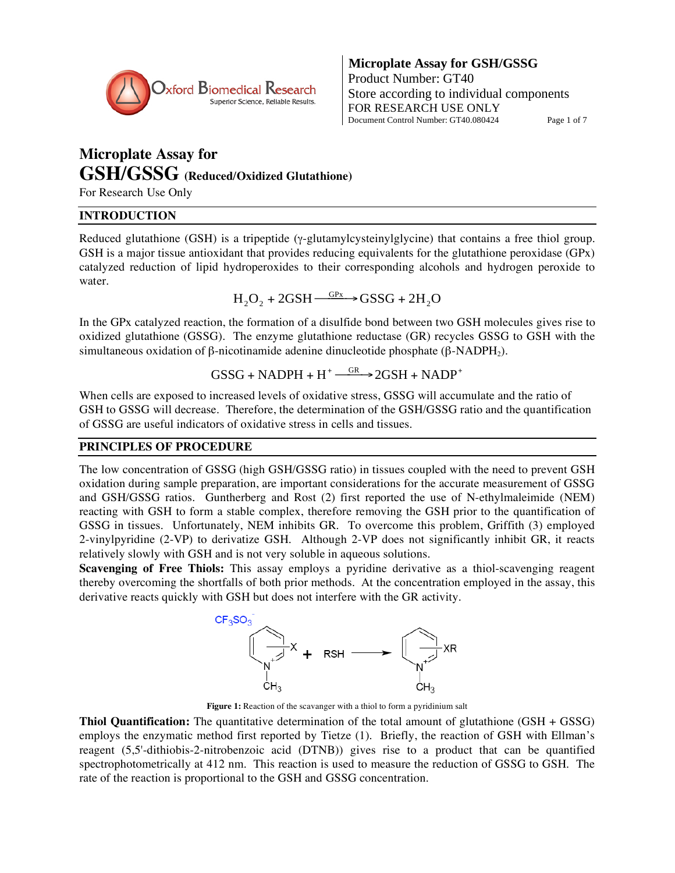

# **Microplate Assay for GSH/GSSG (Reduced/Oxidized Glutathione)**

For Research Use Only

# **INTRODUCTION**

Reduced glutathione (GSH) is a tripeptide (y-glutamylcysteinylglycine) that contains a free thiol group. GSH is a major tissue antioxidant that provides reducing equivalents for the glutathione peroxidase (GPx) catalyzed reduction of lipid hydroperoxides to their corresponding alcohols and hydrogen peroxide to water.

 $H_2O_2 + 2GSH \xrightarrow{GPx} GSSG + 2H_2O$ 

In the GPx catalyzed reaction, the formation of a disulfide bond between two GSH molecules gives rise to oxidized glutathione (GSSG). The enzyme glutathione reductase (GR) recycles GSSG to GSH with the simultaneous oxidation of  $\beta$ -nicotinamide adenine dinucleotide phosphate ( $\beta$ -NADPH<sub>2</sub>).

 $GSSG + NADPH + H^+ \xrightarrow{GR} 2GSH + NADP^+$ 

When cells are exposed to increased levels of oxidative stress, GSSG will accumulate and the ratio of GSH to GSSG will decrease. Therefore, the determination of the GSH/GSSG ratio and the quantification of GSSG are useful indicators of oxidative stress in cells and tissues.

# **PRINCIPLES OF PROCEDURE**

The low concentration of GSSG (high GSH/GSSG ratio) in tissues coupled with the need to prevent GSH oxidation during sample preparation, are important considerations for the accurate measurement of GSSG and GSH/GSSG ratios. Guntherberg and Rost (2) first reported the use of N-ethylmaleimide (NEM) reacting with GSH to form a stable complex, therefore removing the GSH prior to the quantification of GSSG in tissues. Unfortunately, NEM inhibits GR. To overcome this problem, Griffith (3) employed 2-vinylpyridine (2-VP) to derivatize GSH. Although 2-VP does not significantly inhibit GR, it reacts relatively slowly with GSH and is not very soluble in aqueous solutions.

**Scavenging of Free Thiols:** This assay employs a pyridine derivative as a thiol-scavenging reagent thereby overcoming the shortfalls of both prior methods. At the concentration employed in the assay, this derivative reacts quickly with GSH but does not interfere with the GR activity.



**Figure 1:** Reaction of the scavanger with a thiol to form a pyridinium salt

**Thiol Quantification:** The quantitative determination of the total amount of glutathione (GSH + GSSG) employs the enzymatic method first reported by Tietze (1). Briefly, the reaction of GSH with Ellman's reagent (5,5'-dithiobis-2-nitrobenzoic acid (DTNB)) gives rise to a product that can be quantified spectrophotometrically at 412 nm. This reaction is used to measure the reduction of GSSG to GSH. The rate of the reaction is proportional to the GSH and GSSG concentration.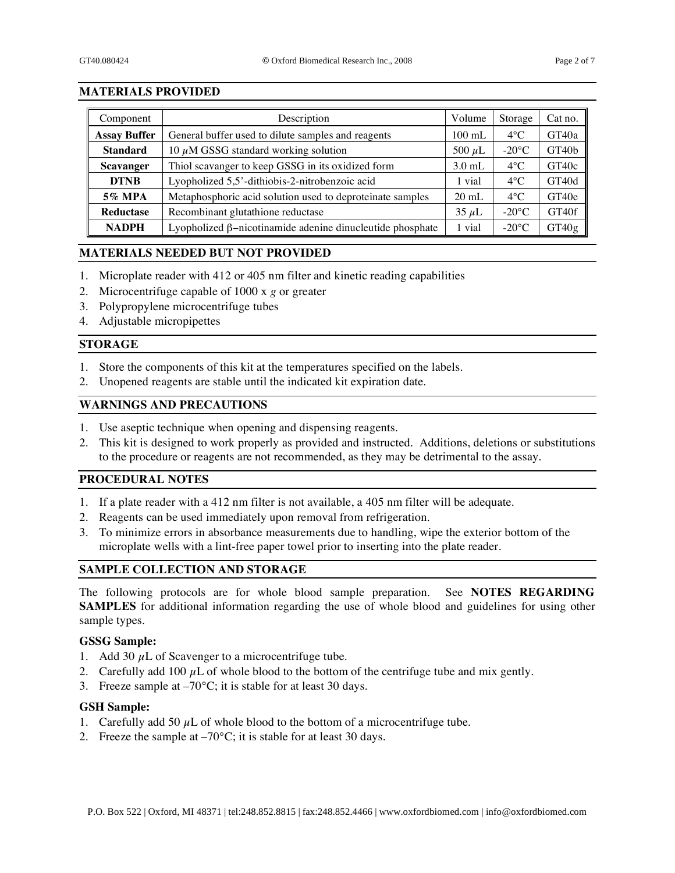# **MATERIALS PROVIDED**

| Component           | Description                                                      | Volume           | Storage         | Cat no.           |
|---------------------|------------------------------------------------------------------|------------------|-----------------|-------------------|
| <b>Assay Buffer</b> | General buffer used to dilute samples and reagents               | $100 \text{ mL}$ | $4^{\circ}$ C   | GT40a             |
| <b>Standard</b>     | 10 $\mu$ M GSSG standard working solution                        | 500 $\mu$ L      | $-20^{\circ}$ C | GT40 <sub>b</sub> |
| <b>Scavanger</b>    | Thiol scavanger to keep GSSG in its oxidized form                | $3.0 \text{ mL}$ | $4^{\circ}$ C   | GT40c             |
| <b>DTNB</b>         | Lyopholized 5,5'-dithiobis-2-nitrobenzoic acid                   | 1 vial           | $4^{\circ}$ C   | GT40d             |
| <b>5% MPA</b>       | Metaphosphoric acid solution used to deproteinate samples        | $20 \text{ mL}$  | $4^{\circ}$ C   | GT40e             |
| <b>Reductase</b>    | Recombinant glutathione reductase                                | $35 \mu L$       | $-20^{\circ}$ C | GT40f             |
| <b>NADPH</b>        | Lyopholized $\beta$ -nicotinamide adenine dinucleutide phosphate | 1 vial           | $-20^{\circ}$ C | GT40g             |

# **MATERIALS NEEDED BUT NOT PROVIDED**

- 1. Microplate reader with 412 or 405 nm filter and kinetic reading capabilities
- 2. Microcentrifuge capable of 1000 x *g* or greater
- 3. Polypropylene microcentrifuge tubes
- 4. Adjustable micropipettes

# **STORAGE**

- 1. Store the components of this kit at the temperatures specified on the labels.
- 2. Unopened reagents are stable until the indicated kit expiration date.

### **WARNINGS AND PRECAUTIONS**

- 1. Use aseptic technique when opening and dispensing reagents.
- 2. This kit is designed to work properly as provided and instructed. Additions, deletions or substitutions to the procedure or reagents are not recommended, as they may be detrimental to the assay.

### **PROCEDURAL NOTES**

- 1. If a plate reader with a 412 nm filter is not available, a 405 nm filter will be adequate.
- 2. Reagents can be used immediately upon removal from refrigeration.
- 3. To minimize errors in absorbance measurements due to handling, wipe the exterior bottom of the microplate wells with a lint-free paper towel prior to inserting into the plate reader.

# **SAMPLE COLLECTION AND STORAGE**

The following protocols are for whole blood sample preparation. See **NOTES REGARDING SAMPLES** for additional information regarding the use of whole blood and guidelines for using other sample types.

# **GSSG Sample:**

- 1. Add 30  $\mu$ L of Scavenger to a microcentrifuge tube.
- 2. Carefully add 100  $\mu$ L of whole blood to the bottom of the centrifuge tube and mix gently.
- 3. Freeze sample at –70°C; it is stable for at least 30 days.

# **GSH Sample:**

- 1. Carefully add 50  $\mu$ L of whole blood to the bottom of a microcentrifuge tube.
- 2. Freeze the sample at  $-70^{\circ}$ C; it is stable for at least 30 days.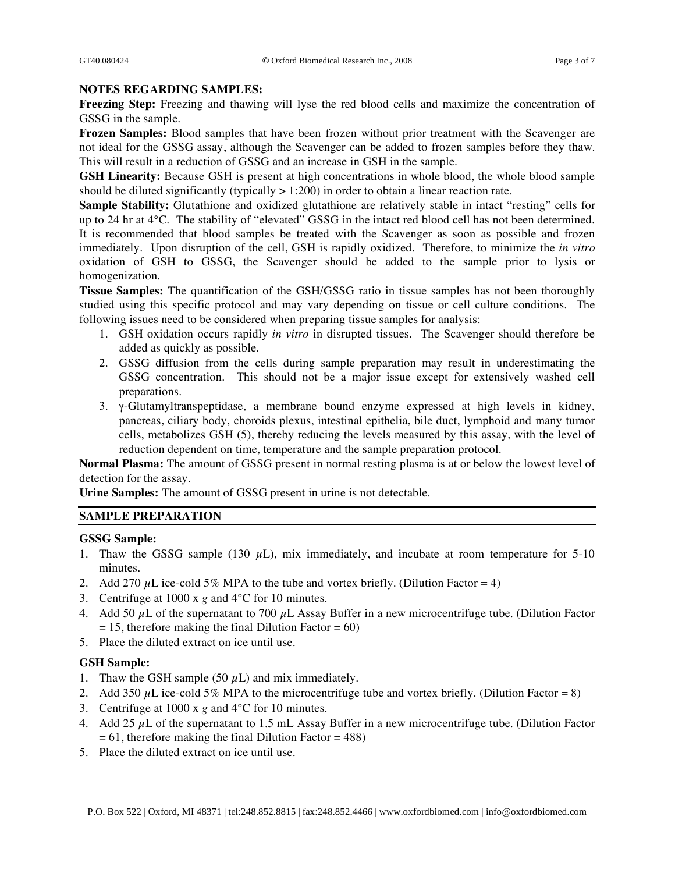### **NOTES REGARDING SAMPLES:**

**Freezing Step:** Freezing and thawing will lyse the red blood cells and maximize the concentration of GSSG in the sample.

**Frozen Samples:** Blood samples that have been frozen without prior treatment with the Scavenger are not ideal for the GSSG assay, although the Scavenger can be added to frozen samples before they thaw. This will result in a reduction of GSSG and an increase in GSH in the sample.

**GSH Linearity:** Because GSH is present at high concentrations in whole blood, the whole blood sample should be diluted significantly (typically  $> 1:200$ ) in order to obtain a linear reaction rate.

**Sample Stability:** Glutathione and oxidized glutathione are relatively stable in intact "resting" cells for up to 24 hr at 4°C. The stability of "elevated" GSSG in the intact red blood cell has not been determined. It is recommended that blood samples be treated with the Scavenger as soon as possible and frozen immediately. Upon disruption of the cell, GSH is rapidly oxidized. Therefore, to minimize the *in vitro* oxidation of GSH to GSSG, the Scavenger should be added to the sample prior to lysis or homogenization.

**Tissue Samples:** The quantification of the GSH/GSSG ratio in tissue samples has not been thoroughly studied using this specific protocol and may vary depending on tissue or cell culture conditions. The following issues need to be considered when preparing tissue samples for analysis:

- 1. GSH oxidation occurs rapidly *in vitro* in disrupted tissues. The Scavenger should therefore be added as quickly as possible.
- 2. GSSG diffusion from the cells during sample preparation may result in underestimating the GSSG concentration. This should not be a major issue except for extensively washed cell preparations.
- 3.  $\gamma$ -Glutamyltranspeptidase, a membrane bound enzyme expressed at high levels in kidney, pancreas, ciliary body, choroids plexus, intestinal epithelia, bile duct, lymphoid and many tumor cells, metabolizes GSH (5), thereby reducing the levels measured by this assay, with the level of reduction dependent on time, temperature and the sample preparation protocol.

**Normal Plasma:** The amount of GSSG present in normal resting plasma is at or below the lowest level of detection for the assay.

**Urine Samples:** The amount of GSSG present in urine is not detectable.

# **SAMPLE PREPARATION**

# **GSSG Sample:**

- 1. Thaw the GSSG sample (130  $\mu$ L), mix immediately, and incubate at room temperature for 5-10 minutes.
- 2. Add 270  $\mu$ L ice-cold 5% MPA to the tube and vortex briefly. (Dilution Factor = 4)
- 3. Centrifuge at 1000 x *g* and 4°C for 10 minutes.
- 4. Add 50  $\mu$ L of the supernatant to 700  $\mu$ L Assay Buffer in a new microcentrifuge tube. (Dilution Factor  $= 15$ , therefore making the final Dilution Factor  $= 60$ )
- 5. Place the diluted extract on ice until use.

# **GSH Sample:**

- 1. Thaw the GSH sample (50  $\mu$ L) and mix immediately.
- 2. Add 350  $\mu$ L ice-cold 5% MPA to the microcentrifuge tube and vortex briefly. (Dilution Factor = 8)
- 3. Centrifuge at 1000 x *g* and 4°C for 10 minutes.
- 4. Add 25  $\mu$ L of the supernatant to 1.5 mL Assay Buffer in a new microcentrifuge tube. (Dilution Factor  $= 61$ , therefore making the final Dilution Factor  $= 488$ )
- 5. Place the diluted extract on ice until use.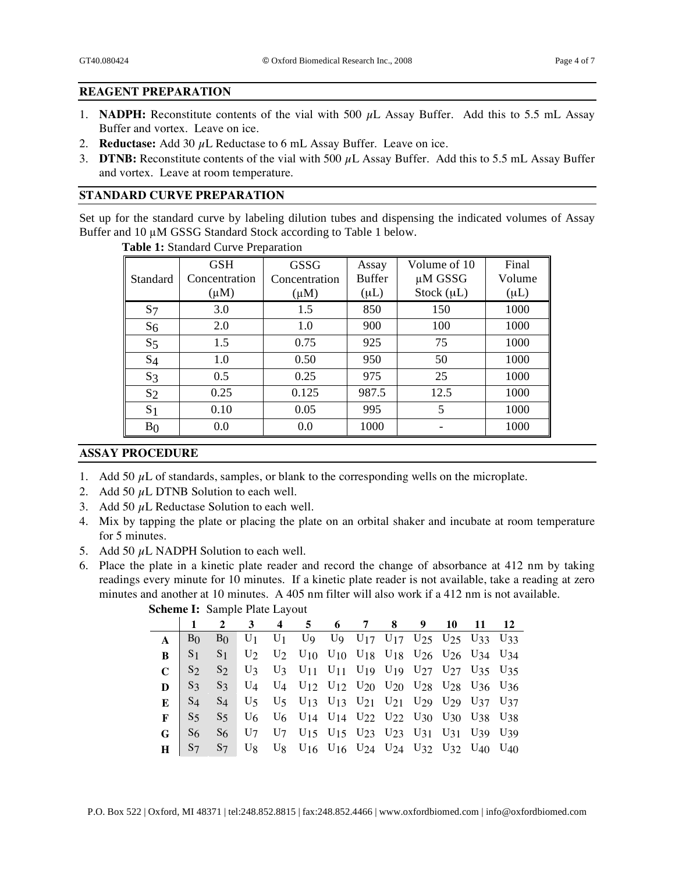# **REAGENT PREPARATION**

- 1. **NADPH:** Reconstitute contents of the vial with 500  $\mu$ L Assay Buffer. Add this to 5.5 mL Assay Buffer and vortex. Leave on ice.
- 2. **Reductase:** Add 30 μL Reductase to 6 mL Assay Buffer. Leave on ice.
- 3. **DTNB:** Reconstitute contents of the vial with 500 μL Assay Buffer. Add this to 5.5 mL Assay Buffer and vortex. Leave at room temperature.

# **STANDARD CURVE PREPARATION**

Set up for the standard curve by labeling dilution tubes and dispensing the indicated volumes of Assay Buffer and 10 µM GSSG Standard Stock according to Table 1 below.

|                | <b>GSH</b>    | <b>GSSG</b>   | Assay         | Volume of 10    | Final     |
|----------------|---------------|---------------|---------------|-----------------|-----------|
| Standard       | Concentration | Concentration | <b>Buffer</b> | $\mu$ M GSSG    | Volume    |
|                | $(\mu M)$     | $(\mu M)$     | $(\mu L)$     | Stock $(\mu L)$ | $(\mu L)$ |
| S <sub>7</sub> | 3.0           | 1.5           | 850           | 150             | 1000      |
| $S_6$          | 2.0           | 1.0           | 900           | 100             | 1000      |
| S <sub>5</sub> | 1.5           | 0.75          | 925           | 75              | 1000      |
| $S_4$          | 1.0           | 0.50          | 950           | 50              | 1000      |
| $S_3$          | 0.5           | 0.25          | 975           | 25              | 1000      |
| S <sub>2</sub> | 0.25          | 0.125         | 987.5         | 12.5            | 1000      |
| S <sub>1</sub> | 0.10          | 0.05          | 995           | 5               | 1000      |
| B <sub>0</sub> | 0.0           | 0.0           | 1000          |                 | 1000      |

 **Table 1:** Standard Curve Preparation

# **ASSAY PROCEDURE**

- 1. Add 50  $\mu$ L of standards, samples, or blank to the corresponding wells on the microplate.
- 2. Add 50  $\mu$ L DTNB Solution to each well.
- 3. Add 50  $\mu$ L Reductase Solution to each well.
- 4. Mix by tapping the plate or placing the plate on an orbital shaker and incubate at room temperature for 5 minutes.
- 5. Add 50  $\mu$ L NADPH Solution to each well.
- 6. Place the plate in a kinetic plate reader and record the change of absorbance at 412 nm by taking readings every minute for 10 minutes. If a kinetic plate reader is not available, take a reading at zero minutes and another at 10 minutes. A 405 nm filter will also work if a 412 nm is not available.

|   |                                          | $\overline{2}$ |  | 3 4 5 6 7 8 9 10 11 12                                                                                                                                                                                                 |  |  |  |  |
|---|------------------------------------------|----------------|--|------------------------------------------------------------------------------------------------------------------------------------------------------------------------------------------------------------------------|--|--|--|--|
|   | $\mathbf{A}$   $\mathbf{B}$ <sup>0</sup> |                |  | B <sub>0</sub> U <sub>1</sub> U <sub>1</sub> U <sub>9</sub> U <sub>9</sub> U <sub>17</sub> U <sub>17</sub> U <sub>25</sub> U <sub>25</sub> U <sub>25</sub> U <sub>33</sub> U <sub>33</sub>                             |  |  |  |  |
| R |                                          |                |  | $S_1$ $S_1$ $U_2$ $U_2$ $U_{10}$ $U_{10}$ $U_{18}$ $U_{18}$ $U_{26}$ $U_{26}$ $U_{34}$ $U_{34}$                                                                                                                        |  |  |  |  |
|   |                                          |                |  | $C$ $S_2$ $S_2$ $U_3$ $U_3$ $U_{11}$ $U_{11}$ $U_{19}$ $U_{19}$ $U_{27}$ $U_{27}$ $U_{35}$ $U_{35}$                                                                                                                    |  |  |  |  |
|   |                                          |                |  | $\mathbf{D}$   S <sub>3</sub> S <sub>3</sub> U <sub>4</sub> U <sub>4</sub> U <sub>12</sub> U <sub>12</sub> U <sub>20</sub> U <sub>20</sub> U <sub>28</sub> U <sub>28</sub> U <sub>36</sub> U <sub>36</sub>             |  |  |  |  |
|   |                                          |                |  | <b>E</b>   S <sub>4</sub> S <sub>4</sub> U <sub>5</sub> U <sub>5</sub> U <sub>13</sub> U <sub>13</sub> U <sub>13</sub> U <sub>21</sub> U <sub>21</sub> U <sub>29</sub> U <sub>29</sub> U <sub>37</sub> U <sub>37</sub> |  |  |  |  |
| F |                                          |                |  |                                                                                                                                                                                                                        |  |  |  |  |
|   |                                          |                |  | <b>G</b>   S <sub>6</sub> S <sub>6</sub> U <sub>7</sub> U <sub>7</sub> U <sub>15</sub> U <sub>15</sub> U <sub>23</sub> U <sub>23</sub> U <sub>23</sub> U <sub>31</sub> U <sub>31</sub> U <sub>39</sub> U <sub>39</sub> |  |  |  |  |
|   |                                          |                |  | S7 S7 U8 U8 U16 U16 U24 U24 U32 U32 U40 U40                                                                                                                                                                            |  |  |  |  |

**Scheme I:** Sample Plate Layout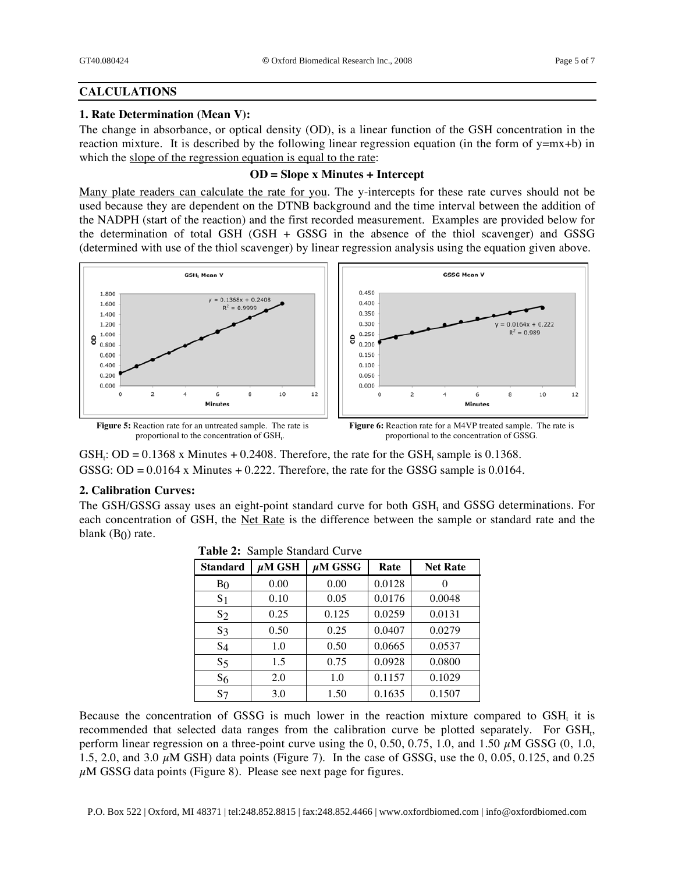# **CALCULATIONS**

### **1. Rate Determination (Mean V):**

The change in absorbance, or optical density (OD), is a linear function of the GSH concentration in the reaction mixture. It is described by the following linear regression equation (in the form of y=mx+b) in which the slope of the regression equation is equal to the rate:

### **OD = Slope x Minutes + Intercept**

Many plate readers can calculate the rate for you. The y-intercepts for these rate curves should not be used because they are dependent on the DTNB background and the time interval between the addition of the NADPH (start of the reaction) and the first recorded measurement. Examples are provided below for the determination of total GSH (GSH + GSSG in the absence of the thiol scavenger) and GSSG (determined with use of the thiol scavenger) by linear regression analysis using the equation given above.



 $GSH_t$ :  $OD = 0.1368$  x Minutes + 0.2408. Therefore, the rate for the  $GSH_t$  sample is 0.1368. GSSG: OD =  $0.0164$  x Minutes + 0.222. Therefore, the rate for the GSSG sample is 0.0164.

# **2. Calibration Curves:**

The GSH/GSSG assay uses an eight-point standard curve for both  $GSH<sub>t</sub>$  and  $GSSG$  determinations. For each concentration of GSH, the <u>Net Rate</u> is the difference between the sample or standard rate and the blank  $(B<sub>0</sub>)$  rate.

| $\frac{1}{2}$ and $\frac{1}{2}$ builded $\frac{1}{2}$ builded $\frac{1}{2}$ |             |              |        |                 |  |  |  |
|-----------------------------------------------------------------------------|-------------|--------------|--------|-----------------|--|--|--|
| <b>Standard</b>                                                             | $\mu$ M GSH | $\mu$ M GSSG | Rate   | <b>Net Rate</b> |  |  |  |
| B <sub>0</sub>                                                              | 0.00        | 0.00         | 0.0128 | 0               |  |  |  |
| S <sub>1</sub>                                                              | 0.10        | 0.05         | 0.0176 | 0.0048          |  |  |  |
| $S_2$                                                                       | 0.25        | 0.125        | 0.0259 | 0.0131          |  |  |  |
| $S_3$                                                                       | 0.50        | 0.25         | 0.0407 | 0.0279          |  |  |  |
| $S_4$                                                                       | 1.0         | 0.50         | 0.0665 | 0.0537          |  |  |  |
| S <sub>5</sub>                                                              | 1.5         | 0.75         | 0.0928 | 0.0800          |  |  |  |
| S <sub>6</sub>                                                              | 2.0         | 1.0          | 0.1157 | 0.1029          |  |  |  |
| $S_7$                                                                       | 3.0         | 1.50         | 0.1635 | 0.1507          |  |  |  |

|  | Table 2: Sample Standard Curve |
|--|--------------------------------|
|--|--------------------------------|

Because the concentration of GSSG is much lower in the reaction mixture compared to GSH, it is recommended that selected data ranges from the calibration curve be plotted separately. For GSH<sub>t</sub>, perform linear regression on a three-point curve using the 0, 0.50, 0.75, 1.0, and 1.50  $\mu$ M GSSG (0, 1.0, 1.5, 2.0, and 3.0  $\mu$ M GSH) data points (Figure 7). In the case of GSSG, use the 0, 0.05, 0.125, and 0.25  $\mu$ M GSSG data points (Figure 8). Please see next page for figures.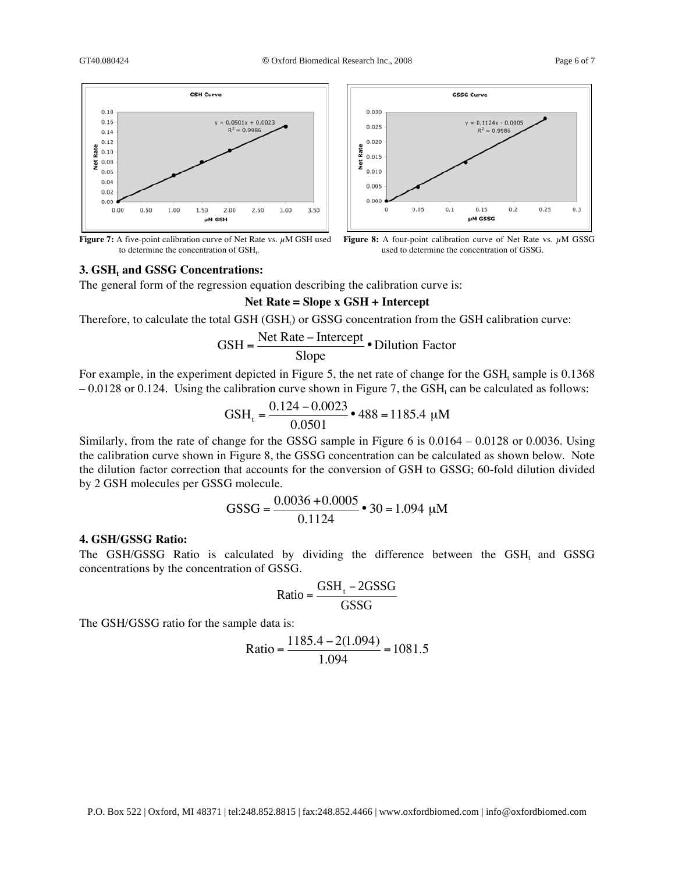

**Figure 7:** A five-point calibration curve of Net Rate vs. μM GSH used to determine the concentration of GSH.

#### **3. GSH, and GSSG Concentrations:**

The general form of the regression equation describing the calibration curve is:

#### **Net Rate = Slope x GSH + Intercept**

Therefore, to calculate the total GSH (GSH<sub>t</sub>) or GSSG concentration from the GSH calibration curve:

$$
GSH = \frac{\text{Net Rate} - \text{Intercept}}{\text{Slope}} \cdot \text{Dilution Factor}
$$

For example, in the experiment depicted in Figure 5, the net rate of change for the  $GSH<sub>t</sub>$  sample is 0.1368  $-0.0128$  or 0.124. Using the calibration curve shown in Figure 7, the GSH, can be calculated as follows:

$$
GSHt = \frac{0.124 - 0.0023}{0.0501} \cdot 488 = 1185.4 \text{ }\mu\text{M}
$$

Similarly, from the rate of change for the GSSG sample in Figure 6 is 0.0164 – 0.0128 or 0.0036. Using the calibration curve shown in Figure 8, the GSSG concentration can be calculated as shown below. Note the dilution factor correction that accounts for the conversion of GSH to GSSG; 60-fold dilution divided by 2 GSH molecules per GSSG molecule.

GSSG = 
$$
\frac{0.0036 + 0.0005}{0.1124} \cdot 30 = 1.094 \mu M
$$

# **4. GSH/GSSG Ratio:**

The GSH/GSSG Ratio is calculated by dividing the difference between the GSH, and GSSG concentrations by the concentration of GSSG.

$$
Ratio = \frac{GSH_t - 2GSSG}{GSSG}
$$

The GSH/GSSG ratio for the sample data is:

Ratio = 
$$
\frac{1185.4 - 2(1.094)}{1.094} = 1081.5
$$



**Figure 8:** A four-point calibration curve of Net Rate vs. μM GSSG used to determine the concentration of GSSG.